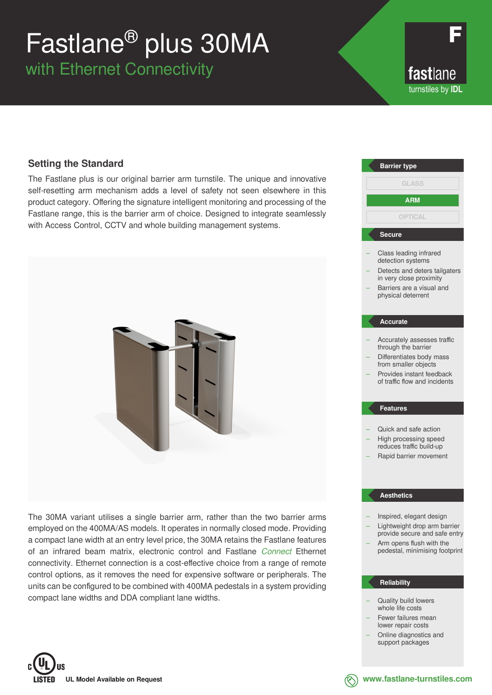# Fastlane® plus 30MA

with Ethernet Connectivity

fastlane turnstiles by **IDL**

### **Setting the Standard**

The Fastlane plus is our original barrier arm turnstile. The unique and innovative self-resetting arm mechanism adds a level of safety not seen elsewhere in this product category. Offering the signature intelligent monitoring and processing of the Fastlane range, this is the barrier arm of choice. Designed to integrate seamlessly with Access Control, CCTV and whole building management systems.



The 30MA variant utilises a single barrier arm, rather than the two barrier arms employed on the 400MA/AS models. It operates in normally closed mode. Providing a compact lane width at an entry level price, the 30MA retains the Fastlane features of an infrared beam matrix, electronic control and Fastlane *Connect* Ethernet connectivity. Ethernet connection is a cost-effective choice from a range of remote control options, as it removes the need for expensive software or peripherals. The units can be configured to be combined with 400MA pedestals in a system providing compact lane widths and DDA compliant lane widths.



#### **Reliability**

- Quality build lowers whole life costs
- Fewer failures mean lower repair costs
- Online diagnostics and support packages



**www.fastlane-turnstiles.com**